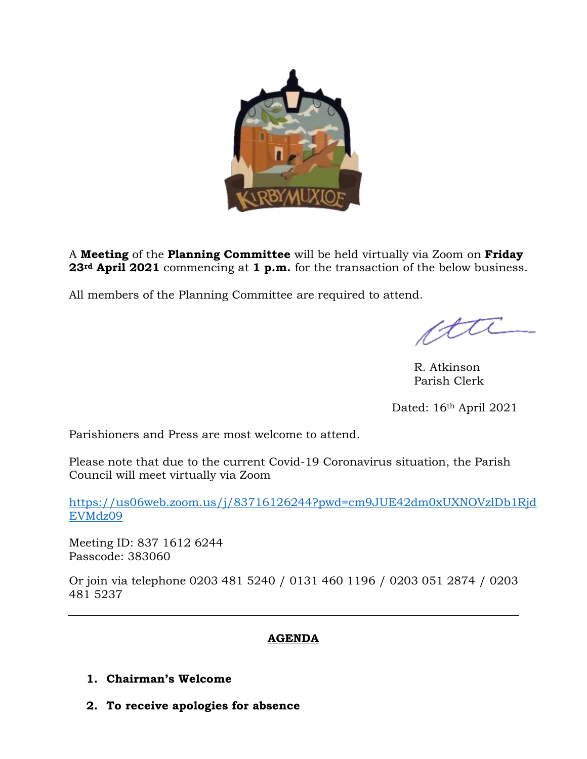

A **Meeting** of the **Planning Committee** will be held virtually via Zoom on **Friday 23rd April 2021** commencing at **1 p.m.** for the transaction of the below business.

All members of the Planning Committee are required to attend.

tti

R. Atkinson Parish Clerk

Dated: 16<sup>th</sup> April 2021

Parishioners and Press are most welcome to attend.

Please note that due to the current Covid-19 Coronavirus situation, the Parish Council will meet virtually via Zoom

[https://us06web.zoom.us/j/83716126244?pwd=cm9JUE42dm0xUXNOVzlDb1Rjd](https://us06web.zoom.us/j/83716126244?pwd=cm9JUE42dm0xUXNOVzlDb1RjdEVMdz09) [EVMdz09](https://us06web.zoom.us/j/83716126244?pwd=cm9JUE42dm0xUXNOVzlDb1RjdEVMdz09)

Meeting ID: 837 1612 6244 Passcode: 383060

Or join via telephone 0203 481 5240 / 0131 460 1196 / 0203 051 2874 / 0203 481 5237

# **AGENDA**

# **1. Chairman's Welcome**

**2. To receive apologies for absence**